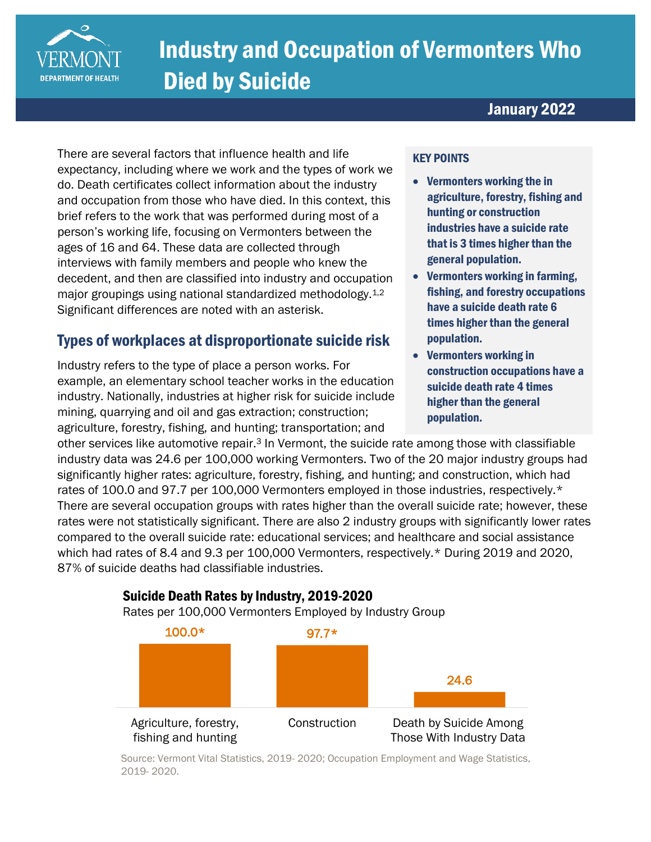

# Industry and Occupation of Vermonters Who Died by Suicide

## January 2022

There are several factors that influence health and life expectancy, including where we work and the types of work we do. Death certificates collect information about the industry and occupation from those who have died. In this context, this brief refers to the work that was performed during most of a person's working life, focusing on Vermonters between the ages of 16 and 64. These data are collected through interviews with family members and people who knew the decedent, and then are classified into industry and occupation major groupings using national standardized methodology.1,2 Significant differences are noted with an asterisk.

## Types of workplaces at disproportionate suicide risk

Industry refers to the type of place a person works. For example, an elementary school teacher works in the education industry. Nationally, industries at higher risk for suicide include mining, quarrying and oil and gas extraction; construction; agriculture, forestry, fishing, and hunting; transportation; and

#### KEY POINTS

- Vermonters working the in agriculture, forestry, fishing and hunting or construction industries have a suicide rate that is 3 times higher than the general population.
- Vermonters working in farming, fishing, and forestry occupations have a suicide death rate 6 times higher than the general population.
- Vermonters working in construction occupations have a suicide death rate 4 times higher than the general population.

other services like automotive repair.<sup>3</sup> In Vermont, the suicide rate among those with classifiable industry data was 24.6 per 100,000 working Vermonters. Two of the 20 major industry groups had significantly higher rates: agriculture, forestry, fishing, and hunting; and construction, which had rates of 100.0 and 97.7 per 100,000 Vermonters employed in those industries, respectively.\* There are several occupation groups with rates higher than the overall suicide rate; however, these rates were not statistically significant. There are also 2 industry groups with significantly lower rates compared to the overall suicide rate: educational services; and healthcare and social assistance which had rates of 8.4 and 9.3 per 100,000 Vermonters, respectively.\* During 2019 and 2020, 87% of suicide deaths had classifiable industries.



Source: Vermont Vital Statistics, 2019- 2020; Occupation Employment and Wage Statistics, 2019- 2020.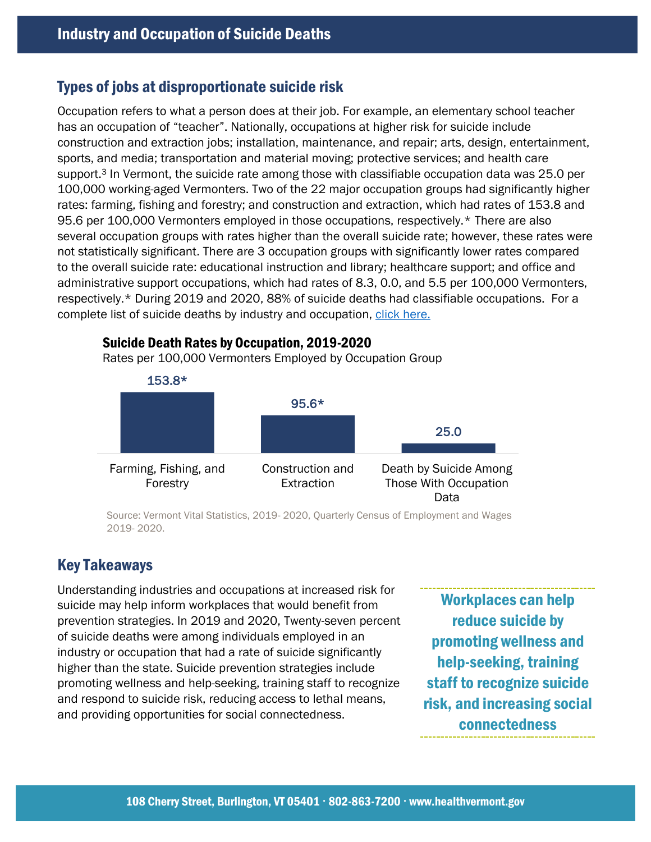## Types of jobs at disproportionate suicide risk

Occupation refers to what a person does at their job. For example, an elementary school teacher has an occupation of "teacher". Nationally, occupations at higher risk for suicide include construction and extraction jobs; installation, maintenance, and repair; arts, design, entertainment, sports, and media; transportation and material moving; protective services; and health care support.<sup>3</sup> In Vermont, the suicide rate among those with classifiable occupation data was 25.0 per 100,000 working-aged Vermonters. Two of the 22 major occupation groups had significantly higher rates: farming, fishing and forestry; and construction and extraction, which had rates of 153.8 and 95.6 per 100,000 Vermonters employed in those occupations, respectively.\* There are also several occupation groups with rates higher than the overall suicide rate; however, these rates were not statistically significant. There are 3 occupation groups with significantly lower rates compared to the overall suicide rate: educational instruction and library; healthcare support; and office and administrative support occupations, which had rates of 8.3, 0.0, and 5.5 per 100,000 Vermonters, respectively.\* During 2019 and 2020, 88% of suicide deaths had classifiable occupations.For a complete list of suicide deaths by industry and occupation, [click here.](https://www.healthvermont.gov/sites/default/files/documents/pdf/HSRV_Injury_IndustryOccupationData_2021.pdf)



Source: Vermont Vital Statistics, 2019- 2020, Quarterly Census of Employment and Wages 2019- 2020.

## Key Takeaways

Understanding industries and occupations at increased risk for suicide may help inform workplaces that would benefit from prevention strategies. In 2019 and 2020, Twenty-seven percent of suicide deaths were among individuals employed in an industry or occupation that had a rate of suicide significantly higher than the state. Suicide prevention strategies include promoting wellness and help-seeking, training staff to recognize and respond to suicide risk, reducing access to lethal means, and providing opportunities for social connectedness.

Suicide Death Rates by Occupation, 2019-2020

Workplaces can help reduce suicide by promoting wellness and help-seeking, training staff to recognize suicide risk, and increasing social connectedness